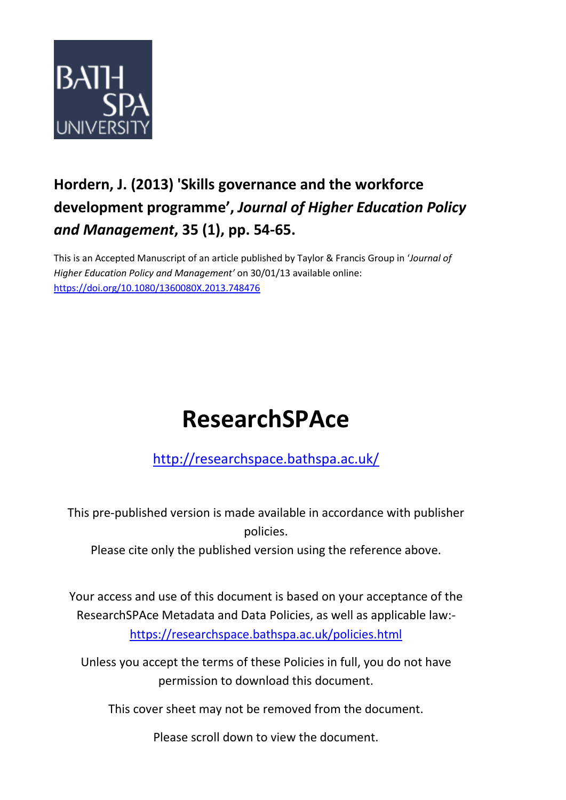

# **Hordern, J. (2013) 'Skills governance and the workforce development programme' ,** *Journal of Higher Education Policy and Management***, 35 (1), pp. 54-65.**

This is an Accepted Manuscript of an article published by Taylor & Francis Group in '*Journal of Higher Education Policy and Management'* on 30/01/13 available online: <https://doi.org/10.1080/1360080X.2013.748476>

# **ResearchSPAce**

<http://researchspace.bathspa.ac.uk/>

This pre-published version is made available in accordance with publisher policies. Please cite only the published version using the reference above.

Your access and use of this document is based on your acceptance of the ResearchSPAce Metadata and Data Policies, as well as applicable law: https://researchspace.bathspa.ac.uk/policies.html

Unless you accept the terms of these Policies in full, you do not have permission to download this document.

This cover sheet may not be removed from the document.

Please scroll down to view the document.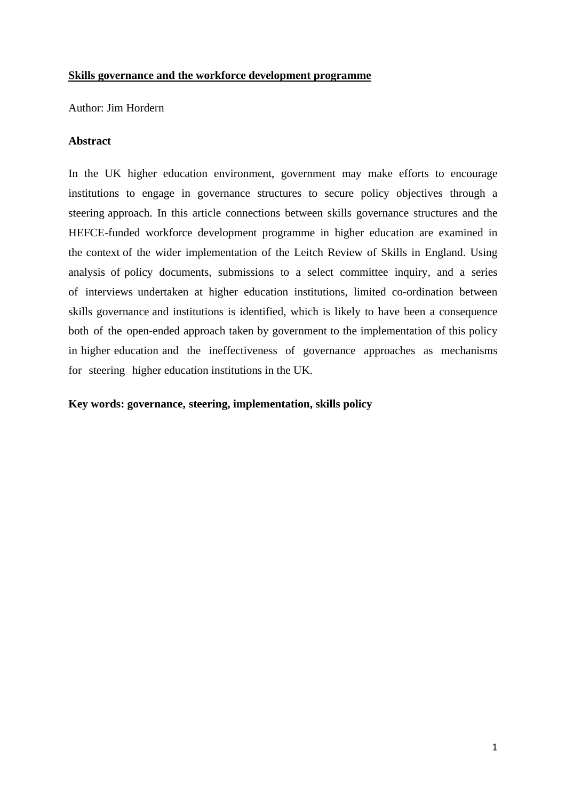# **Skills governance and the workforce development programme**

Author: Jim Hordern

# **Abstract**

In the UK higher education environment, government may make efforts to encourage institutions to engage in governance structures to secure policy objectives through a steering approach. In this article connections between skills governance structures and the HEFCE-funded workforce development programme in higher education are examined in the context of the wider implementation of the Leitch Review of Skills in England. Using analysis of policy documents, submissions to a select committee inquiry, and a series of interviews undertaken at higher education institutions, limited co-ordination between skills governance and institutions is identified, which is likely to have been a consequence both of the open-ended approach taken by government to the implementation of this policy in higher education and the ineffectiveness of governance approaches as mechanisms for steering higher education institutions in the UK.

# **Key words: governance, steering, implementation, skills policy**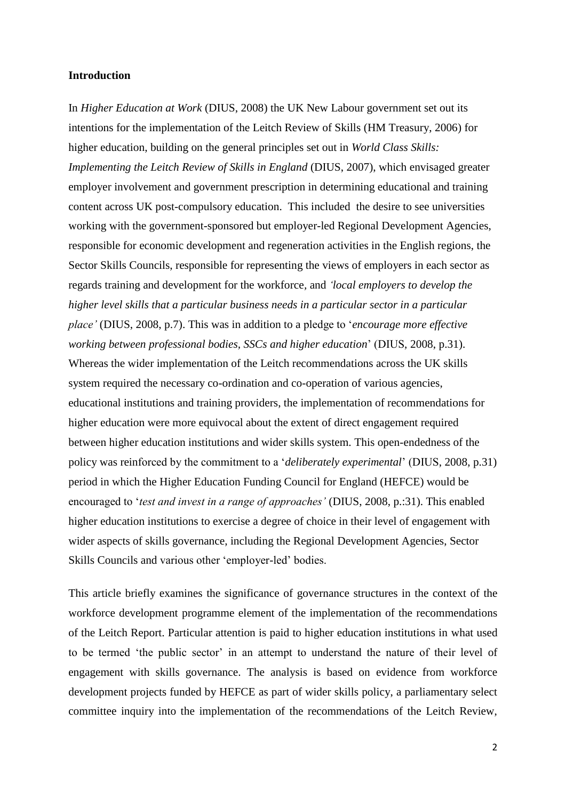# **Introduction**

In *Higher Education at Work* (DIUS, 2008) the UK New Labour government set out its intentions for the implementation of the Leitch Review of Skills (HM Treasury, 2006) for higher education, building on the general principles set out in *World Class Skills: Implementing the Leitch Review of Skills in England (DIUS, 2007), which envisaged greater* employer involvement and government prescription in determining educational and training content across UK post-compulsory education. This included the desire to see universities working with the government-sponsored but employer-led Regional Development Agencies, responsible for economic development and regeneration activities in the English regions, the Sector Skills Councils, responsible for representing the views of employers in each sector as regards training and development for the workforce*,* and *'local employers to develop the higher level skills that a particular business needs in a particular sector in a particular place'* (DIUS, 2008, p.7). This was in addition to a pledge to '*encourage more effective working between professional bodies, SSCs and higher education*' (DIUS, 2008, p.31). Whereas the wider implementation of the Leitch recommendations across the UK skills system required the necessary co-ordination and co-operation of various agencies, educational institutions and training providers, the implementation of recommendations for higher education were more equivocal about the extent of direct engagement required between higher education institutions and wider skills system. This open-endedness of the policy was reinforced by the commitment to a '*deliberately experimental*' (DIUS, 2008, p.31) period in which the Higher Education Funding Council for England (HEFCE) would be encouraged to '*test and invest in a range of approaches'* (DIUS, 2008, p.:31). This enabled higher education institutions to exercise a degree of choice in their level of engagement with wider aspects of skills governance, including the Regional Development Agencies, Sector Skills Councils and various other 'employer-led' bodies.

This article briefly examines the significance of governance structures in the context of the workforce development programme element of the implementation of the recommendations of the Leitch Report. Particular attention is paid to higher education institutions in what used to be termed 'the public sector' in an attempt to understand the nature of their level of engagement with skills governance. The analysis is based on evidence from workforce development projects funded by HEFCE as part of wider skills policy, a parliamentary select committee inquiry into the implementation of the recommendations of the Leitch Review,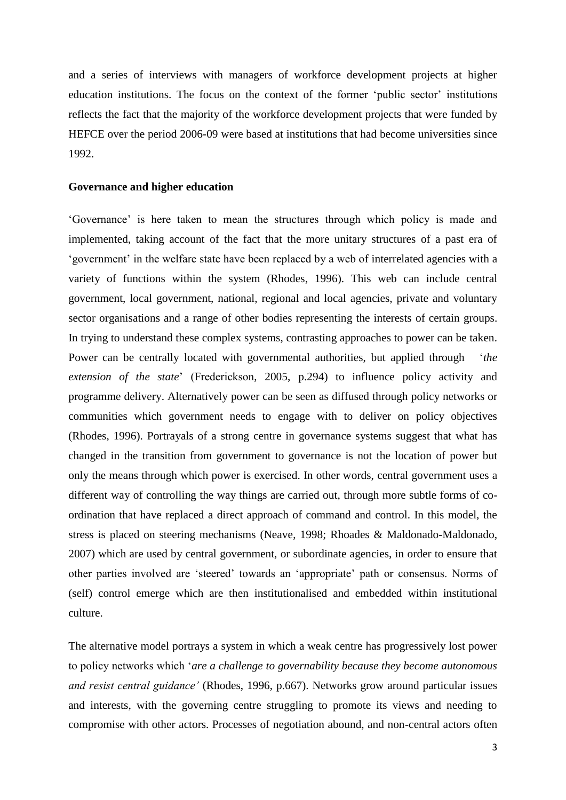and a series of interviews with managers of workforce development projects at higher education institutions. The focus on the context of the former 'public sector' institutions reflects the fact that the majority of the workforce development projects that were funded by HEFCE over the period 2006-09 were based at institutions that had become universities since 1992.

#### **Governance and higher education**

'Governance' is here taken to mean the structures through which policy is made and implemented, taking account of the fact that the more unitary structures of a past era of 'government' in the welfare state have been replaced by a web of interrelated agencies with a variety of functions within the system (Rhodes, 1996). This web can include central government, local government, national, regional and local agencies, private and voluntary sector organisations and a range of other bodies representing the interests of certain groups. In trying to understand these complex systems, contrasting approaches to power can be taken. Power can be centrally located with governmental authorities, but applied through '*the extension of the state*' (Frederickson, 2005, p.294) to influence policy activity and programme delivery. Alternatively power can be seen as diffused through policy networks or communities which government needs to engage with to deliver on policy objectives (Rhodes, 1996). Portrayals of a strong centre in governance systems suggest that what has changed in the transition from government to governance is not the location of power but only the means through which power is exercised. In other words, central government uses a different way of controlling the way things are carried out, through more subtle forms of coordination that have replaced a direct approach of command and control. In this model, the stress is placed on steering mechanisms (Neave, 1998; Rhoades & Maldonado-Maldonado, 2007) which are used by central government, or subordinate agencies, in order to ensure that other parties involved are 'steered' towards an 'appropriate' path or consensus. Norms of (self) control emerge which are then institutionalised and embedded within institutional culture.

The alternative model portrays a system in which a weak centre has progressively lost power to policy networks which '*are a challenge to governability because they become autonomous and resist central guidance'* (Rhodes, 1996, p.667). Networks grow around particular issues and interests, with the governing centre struggling to promote its views and needing to compromise with other actors. Processes of negotiation abound, and non-central actors often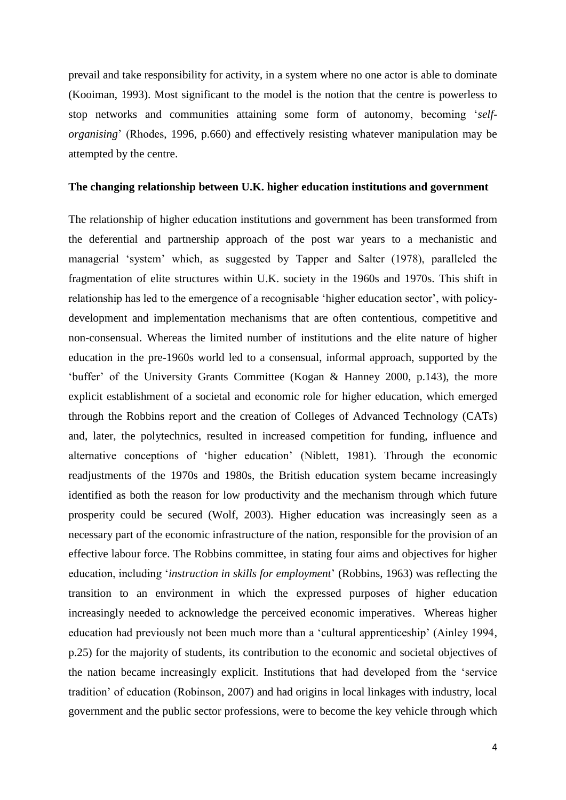prevail and take responsibility for activity, in a system where no one actor is able to dominate (Kooiman, 1993). Most significant to the model is the notion that the centre is powerless to stop networks and communities attaining some form of autonomy, becoming '*selforganising*' (Rhodes, 1996, p.660) and effectively resisting whatever manipulation may be attempted by the centre.

#### **The changing relationship between U.K. higher education institutions and government**

The relationship of higher education institutions and government has been transformed from the deferential and partnership approach of the post war years to a mechanistic and managerial 'system' which, as suggested by Tapper and Salter (1978), paralleled the fragmentation of elite structures within U.K. society in the 1960s and 1970s. This shift in relationship has led to the emergence of a recognisable 'higher education sector', with policydevelopment and implementation mechanisms that are often contentious, competitive and non-consensual. Whereas the limited number of institutions and the elite nature of higher education in the pre-1960s world led to a consensual, informal approach, supported by the 'buffer' of the University Grants Committee (Kogan & Hanney 2000, p.143), the more explicit establishment of a societal and economic role for higher education, which emerged through the Robbins report and the creation of Colleges of Advanced Technology (CATs) and, later, the polytechnics, resulted in increased competition for funding, influence and alternative conceptions of 'higher education' (Niblett, 1981). Through the economic readjustments of the 1970s and 1980s, the British education system became increasingly identified as both the reason for low productivity and the mechanism through which future prosperity could be secured (Wolf, 2003). Higher education was increasingly seen as a necessary part of the economic infrastructure of the nation, responsible for the provision of an effective labour force. The Robbins committee, in stating four aims and objectives for higher education, including '*instruction in skills for employment*' (Robbins, 1963) was reflecting the transition to an environment in which the expressed purposes of higher education increasingly needed to acknowledge the perceived economic imperatives. Whereas higher education had previously not been much more than a 'cultural apprenticeship' (Ainley 1994, p.25) for the majority of students, its contribution to the economic and societal objectives of the nation became increasingly explicit. Institutions that had developed from the 'service tradition' of education (Robinson, 2007) and had origins in local linkages with industry, local government and the public sector professions, were to become the key vehicle through which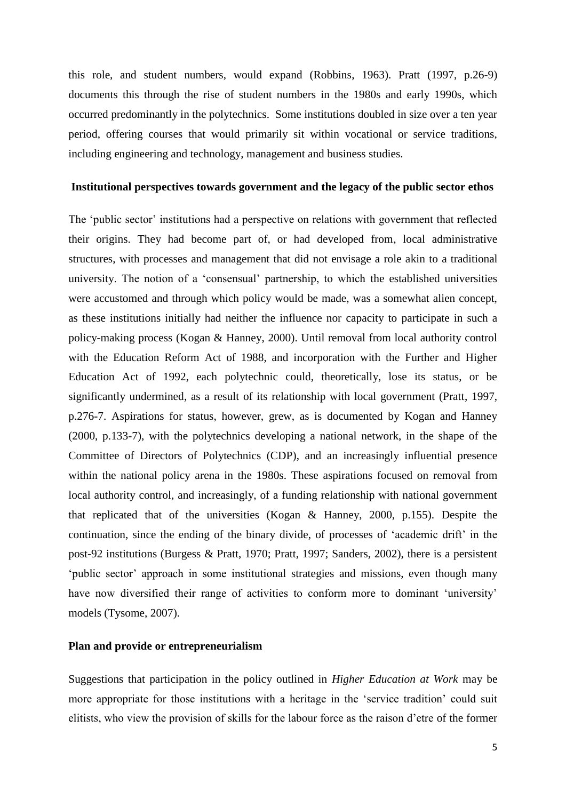this role, and student numbers, would expand (Robbins, 1963). Pratt (1997, p.26-9) documents this through the rise of student numbers in the 1980s and early 1990s, which occurred predominantly in the polytechnics. Some institutions doubled in size over a ten year period, offering courses that would primarily sit within vocational or service traditions, including engineering and technology, management and business studies.

# **Institutional perspectives towards government and the legacy of the public sector ethos**

The 'public sector' institutions had a perspective on relations with government that reflected their origins. They had become part of, or had developed from, local administrative structures, with processes and management that did not envisage a role akin to a traditional university. The notion of a 'consensual' partnership, to which the established universities were accustomed and through which policy would be made, was a somewhat alien concept, as these institutions initially had neither the influence nor capacity to participate in such a policy-making process (Kogan & Hanney, 2000). Until removal from local authority control with the Education Reform Act of 1988, and incorporation with the Further and Higher Education Act of 1992, each polytechnic could, theoretically, lose its status, or be significantly undermined, as a result of its relationship with local government (Pratt, 1997, p.276-7. Aspirations for status, however, grew, as is documented by Kogan and Hanney (2000, p.133-7), with the polytechnics developing a national network, in the shape of the Committee of Directors of Polytechnics (CDP), and an increasingly influential presence within the national policy arena in the 1980s. These aspirations focused on removal from local authority control, and increasingly, of a funding relationship with national government that replicated that of the universities (Kogan & Hanney, 2000, p.155). Despite the continuation, since the ending of the binary divide, of processes of 'academic drift' in the post-92 institutions (Burgess & Pratt, 1970; Pratt, 1997; Sanders, 2002), there is a persistent 'public sector' approach in some institutional strategies and missions, even though many have now diversified their range of activities to conform more to dominant 'university' models (Tysome, 2007).

# **Plan and provide or entrepreneurialism**

Suggestions that participation in the policy outlined in *Higher Education at Work* may be more appropriate for those institutions with a heritage in the 'service tradition' could suit elitists, who view the provision of skills for the labour force as the raison d'etre of the former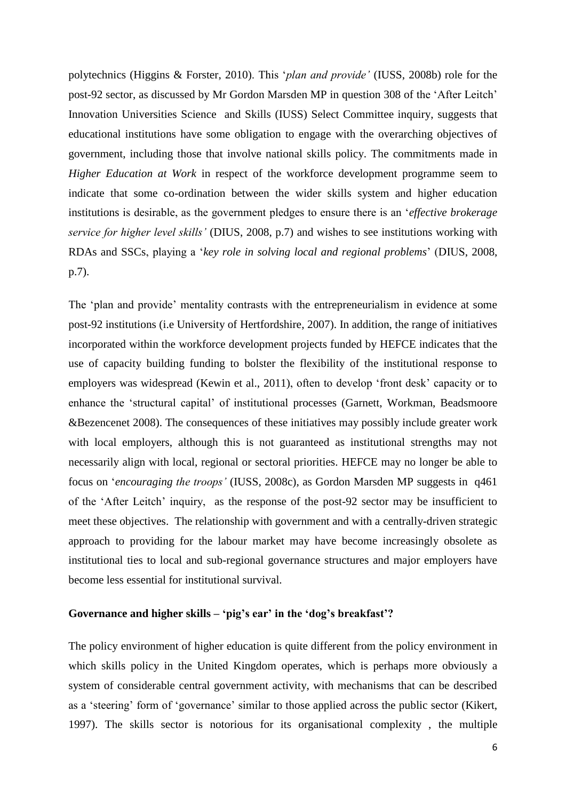polytechnics (Higgins & Forster, 2010). This '*plan and provide'* (IUSS, 2008b) role for the post-92 sector, as discussed by Mr Gordon Marsden MP in question 308 of the 'After Leitch' Innovation Universities Science and Skills (IUSS) Select Committee inquiry, suggests that educational institutions have some obligation to engage with the overarching objectives of government, including those that involve national skills policy. The commitments made in *Higher Education at Work* in respect of the workforce development programme seem to indicate that some co-ordination between the wider skills system and higher education institutions is desirable, as the government pledges to ensure there is an '*effective brokerage service for higher level skills'* (DIUS, 2008, p.7) and wishes to see institutions working with RDAs and SSCs, playing a '*key role in solving local and regional problems*' (DIUS, 2008, p.7).

The 'plan and provide' mentality contrasts with the entrepreneurialism in evidence at some post-92 institutions (i.e University of Hertfordshire, 2007). In addition, the range of initiatives incorporated within the workforce development projects funded by HEFCE indicates that the use of capacity building funding to bolster the flexibility of the institutional response to employers was widespread (Kewin et al., 2011), often to develop 'front desk' capacity or to enhance the 'structural capital' of institutional processes (Garnett, Workman, Beadsmoore &Bezencenet 2008). The consequences of these initiatives may possibly include greater work with local employers, although this is not guaranteed as institutional strengths may not necessarily align with local, regional or sectoral priorities. HEFCE may no longer be able to focus on '*encouraging the troops'* (IUSS, 2008c), as Gordon Marsden MP suggests in q461 of the 'After Leitch' inquiry, as the response of the post-92 sector may be insufficient to meet these objectives. The relationship with government and with a centrally-driven strategic approach to providing for the labour market may have become increasingly obsolete as institutional ties to local and sub-regional governance structures and major employers have become less essential for institutional survival.

# **Governance and higher skills – 'pig's ear' in the 'dog's breakfast'?**

The policy environment of higher education is quite different from the policy environment in which skills policy in the United Kingdom operates, which is perhaps more obviously a system of considerable central government activity, with mechanisms that can be described as a 'steering' form of 'governance' similar to those applied across the public sector (Kikert, 1997). The skills sector is notorious for its organisational complexity , the multiple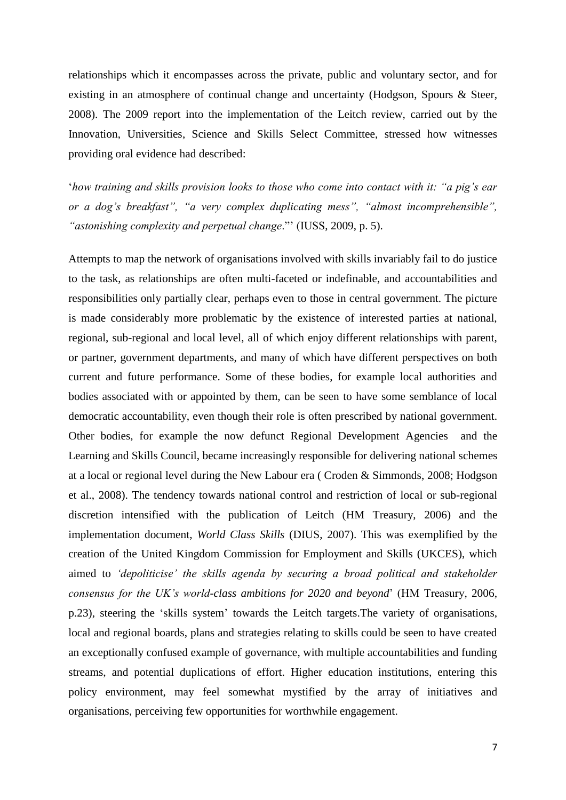relationships which it encompasses across the private, public and voluntary sector, and for existing in an atmosphere of continual change and uncertainty (Hodgson, Spours & Steer, 2008). The 2009 report into the implementation of the Leitch review, carried out by the Innovation, Universities, Science and Skills Select Committee, stressed how witnesses providing oral evidence had described:

'*how training and skills provision looks to those who come into contact with it: "a pig's ear or a dog's breakfast", "a very complex duplicating mess", "almost incomprehensible", "astonishing complexity and perpetual change*."' (IUSS, 2009, p. 5).

Attempts to map the network of organisations involved with skills invariably fail to do justice to the task, as relationships are often multi-faceted or indefinable, and accountabilities and responsibilities only partially clear, perhaps even to those in central government. The picture is made considerably more problematic by the existence of interested parties at national, regional, sub-regional and local level, all of which enjoy different relationships with parent, or partner, government departments, and many of which have different perspectives on both current and future performance. Some of these bodies, for example local authorities and bodies associated with or appointed by them, can be seen to have some semblance of local democratic accountability, even though their role is often prescribed by national government. Other bodies, for example the now defunct Regional Development Agencies and the Learning and Skills Council, became increasingly responsible for delivering national schemes at a local or regional level during the New Labour era ( Croden & Simmonds, 2008; Hodgson et al., 2008). The tendency towards national control and restriction of local or sub-regional discretion intensified with the publication of Leitch (HM Treasury, 2006) and the implementation document, *World Class Skills* (DIUS, 2007). This was exemplified by the creation of the United Kingdom Commission for Employment and Skills (UKCES), which aimed to *'depoliticise' the skills agenda by securing a broad political and stakeholder consensus for the UK's world-class ambitions for 2020 and beyond*' (HM Treasury, 2006, p.23), steering the 'skills system' towards the Leitch targets.The variety of organisations, local and regional boards, plans and strategies relating to skills could be seen to have created an exceptionally confused example of governance, with multiple accountabilities and funding streams, and potential duplications of effort. Higher education institutions, entering this policy environment, may feel somewhat mystified by the array of initiatives and organisations, perceiving few opportunities for worthwhile engagement.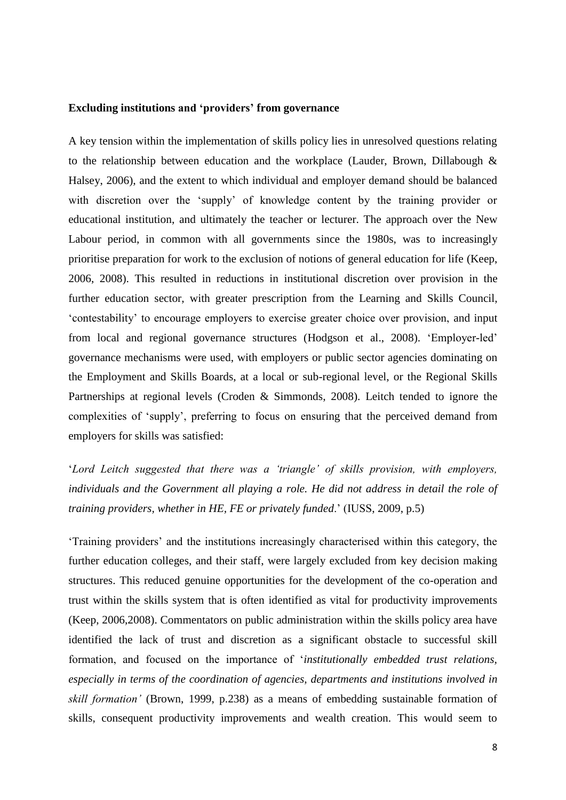#### **Excluding institutions and 'providers' from governance**

A key tension within the implementation of skills policy lies in unresolved questions relating to the relationship between education and the workplace (Lauder, Brown, Dillabough & Halsey, 2006), and the extent to which individual and employer demand should be balanced with discretion over the 'supply' of knowledge content by the training provider or educational institution, and ultimately the teacher or lecturer. The approach over the New Labour period, in common with all governments since the 1980s, was to increasingly prioritise preparation for work to the exclusion of notions of general education for life (Keep, 2006, 2008). This resulted in reductions in institutional discretion over provision in the further education sector, with greater prescription from the Learning and Skills Council, 'contestability' to encourage employers to exercise greater choice over provision, and input from local and regional governance structures (Hodgson et al., 2008). 'Employer-led' governance mechanisms were used, with employers or public sector agencies dominating on the Employment and Skills Boards, at a local or sub-regional level, or the Regional Skills Partnerships at regional levels (Croden & Simmonds, 2008). Leitch tended to ignore the complexities of 'supply', preferring to focus on ensuring that the perceived demand from employers for skills was satisfied:

'*Lord Leitch suggested that there was a 'triangle' of skills provision, with employers, individuals and the Government all playing a role. He did not address in detail the role of training providers, whether in HE, FE or privately funded*.' (IUSS, 2009, p.5)

'Training providers' and the institutions increasingly characterised within this category, the further education colleges, and their staff, were largely excluded from key decision making structures. This reduced genuine opportunities for the development of the co-operation and trust within the skills system that is often identified as vital for productivity improvements (Keep, 2006,2008). Commentators on public administration within the skills policy area have identified the lack of trust and discretion as a significant obstacle to successful skill formation, and focused on the importance of '*institutionally embedded trust relations, especially in terms of the coordination of agencies, departments and institutions involved in skill formation'* (Brown, 1999, p.238) as a means of embedding sustainable formation of skills, consequent productivity improvements and wealth creation. This would seem to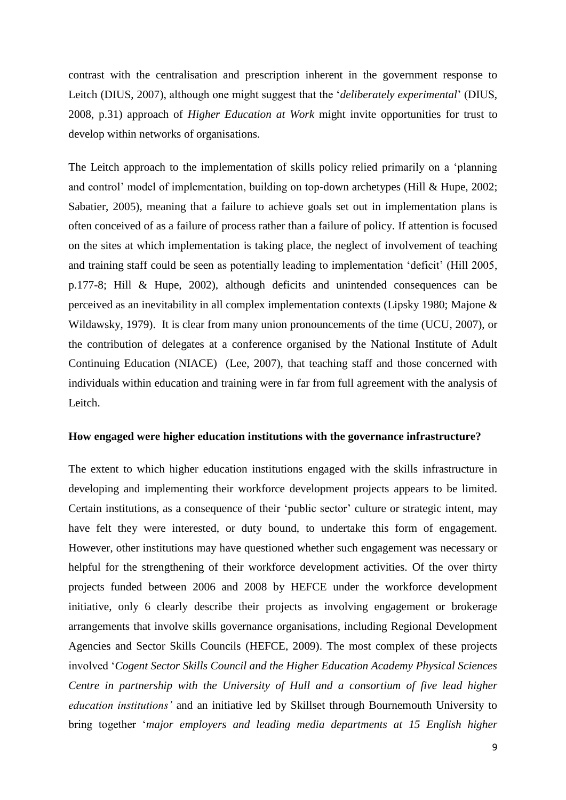contrast with the centralisation and prescription inherent in the government response to Leitch (DIUS, 2007), although one might suggest that the '*deliberately experimental*' (DIUS, 2008, p.31) approach of *Higher Education at Work* might invite opportunities for trust to develop within networks of organisations.

The Leitch approach to the implementation of skills policy relied primarily on a 'planning and control' model of implementation, building on top-down archetypes (Hill & Hupe, 2002; Sabatier, 2005), meaning that a failure to achieve goals set out in implementation plans is often conceived of as a failure of process rather than a failure of policy. If attention is focused on the sites at which implementation is taking place, the neglect of involvement of teaching and training staff could be seen as potentially leading to implementation 'deficit' (Hill 2005, p.177-8; Hill & Hupe, 2002), although deficits and unintended consequences can be perceived as an inevitability in all complex implementation contexts (Lipsky 1980; Majone & Wildawsky, 1979). It is clear from many union pronouncements of the time (UCU, 2007), or the contribution of delegates at a conference organised by the National Institute of Adult Continuing Education (NIACE) (Lee, 2007), that teaching staff and those concerned with individuals within education and training were in far from full agreement with the analysis of Leitch.

#### **How engaged were higher education institutions with the governance infrastructure?**

The extent to which higher education institutions engaged with the skills infrastructure in developing and implementing their workforce development projects appears to be limited. Certain institutions, as a consequence of their 'public sector' culture or strategic intent, may have felt they were interested, or duty bound, to undertake this form of engagement. However, other institutions may have questioned whether such engagement was necessary or helpful for the strengthening of their workforce development activities. Of the over thirty projects funded between 2006 and 2008 by HEFCE under the workforce development initiative, only 6 clearly describe their projects as involving engagement or brokerage arrangements that involve skills governance organisations, including Regional Development Agencies and Sector Skills Councils (HEFCE, 2009). The most complex of these projects involved '*Cogent Sector Skills Council and the Higher Education Academy Physical Sciences Centre in partnership with the University of Hull and a consortium of five lead higher education institutions'* and an initiative led by Skillset through Bournemouth University to bring together '*major employers and leading media departments at 15 English higher*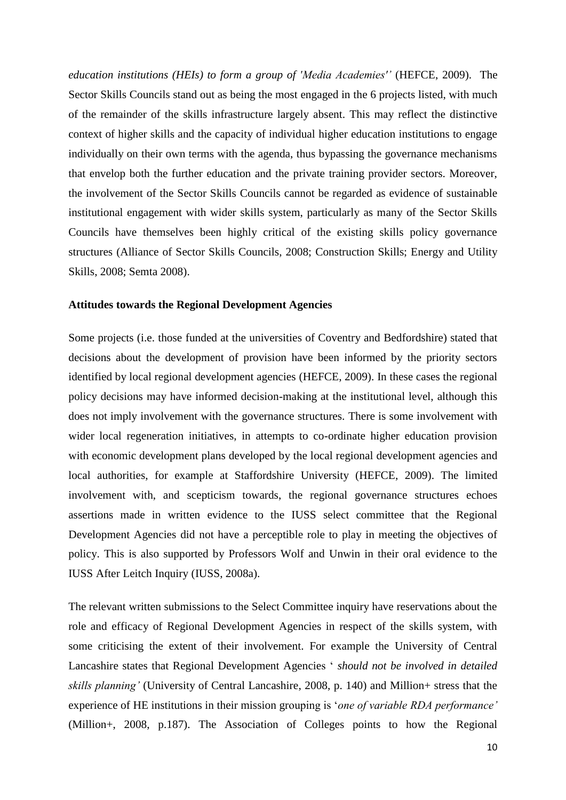*education institutions (HEIs) to form a group of 'Media Academies''* (HEFCE, 2009). The Sector Skills Councils stand out as being the most engaged in the 6 projects listed, with much of the remainder of the skills infrastructure largely absent. This may reflect the distinctive context of higher skills and the capacity of individual higher education institutions to engage individually on their own terms with the agenda, thus bypassing the governance mechanisms that envelop both the further education and the private training provider sectors. Moreover, the involvement of the Sector Skills Councils cannot be regarded as evidence of sustainable institutional engagement with wider skills system, particularly as many of the Sector Skills Councils have themselves been highly critical of the existing skills policy governance structures (Alliance of Sector Skills Councils, 2008; Construction Skills; Energy and Utility Skills, 2008; Semta 2008).

### **Attitudes towards the Regional Development Agencies**

Some projects (i.e. those funded at the universities of Coventry and Bedfordshire) stated that decisions about the development of provision have been informed by the priority sectors identified by local regional development agencies (HEFCE, 2009). In these cases the regional policy decisions may have informed decision-making at the institutional level, although this does not imply involvement with the governance structures. There is some involvement with wider local regeneration initiatives, in attempts to co-ordinate higher education provision with economic development plans developed by the local regional development agencies and local authorities, for example at Staffordshire University (HEFCE, 2009). The limited involvement with, and scepticism towards, the regional governance structures echoes assertions made in written evidence to the IUSS select committee that the Regional Development Agencies did not have a perceptible role to play in meeting the objectives of policy. This is also supported by Professors Wolf and Unwin in their oral evidence to the IUSS After Leitch Inquiry (IUSS, 2008a).

The relevant written submissions to the Select Committee inquiry have reservations about the role and efficacy of Regional Development Agencies in respect of the skills system, with some criticising the extent of their involvement. For example the University of Central Lancashire states that Regional Development Agencies ' *should not be involved in detailed skills planning'* (University of Central Lancashire, 2008, p. 140) and Million+ stress that the experience of HE institutions in their mission grouping is '*one of variable RDA performance'*  (Million+, 2008, p.187). The Association of Colleges points to how the Regional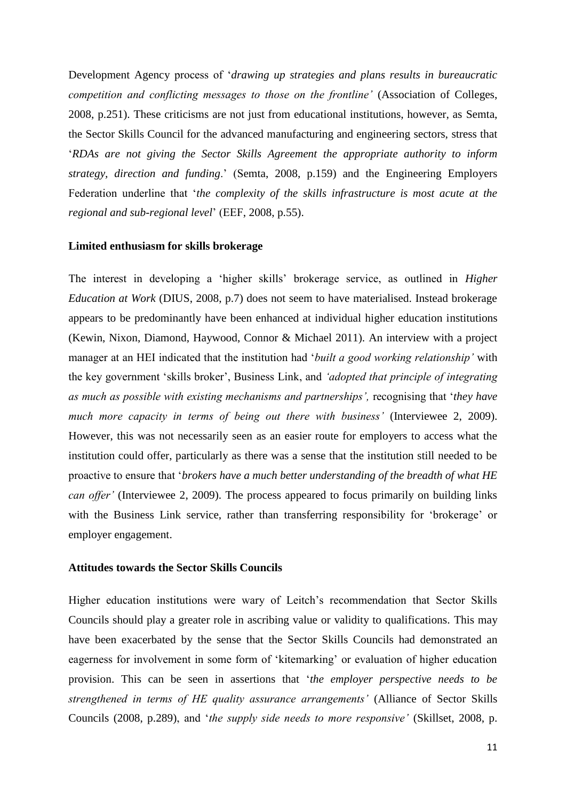Development Agency process of '*drawing up strategies and plans results in bureaucratic competition and conflicting messages to those on the frontline'* (Association of Colleges, 2008, p.251). These criticisms are not just from educational institutions, however, as Semta, the Sector Skills Council for the advanced manufacturing and engineering sectors, stress that '*RDAs are not giving the Sector Skills Agreement the appropriate authority to inform strategy, direction and funding*.' (Semta, 2008, p.159) and the Engineering Employers Federation underline that '*the complexity of the skills infrastructure is most acute at the regional and sub-regional level*' (EEF, 2008, p.55).

# **Limited enthusiasm for skills brokerage**

The interest in developing a 'higher skills' brokerage service, as outlined in *Higher Education at Work* (DIUS, 2008, p.7) does not seem to have materialised. Instead brokerage appears to be predominantly have been enhanced at individual higher education institutions (Kewin, Nixon, Diamond, Haywood, Connor & Michael 2011). An interview with a project manager at an HEI indicated that the institution had '*built a good working relationship'* with the key government 'skills broker', Business Link, and *'adopted that principle of integrating as much as possible with existing mechanisms and partnerships',* recognising that '*they have much more capacity in terms of being out there with business'* (Interviewee 2, 2009). However, this was not necessarily seen as an easier route for employers to access what the institution could offer, particularly as there was a sense that the institution still needed to be proactive to ensure that '*brokers have a much better understanding of the breadth of what HE can offer'* (Interviewee 2, 2009). The process appeared to focus primarily on building links with the Business Link service, rather than transferring responsibility for 'brokerage' or employer engagement.

# **Attitudes towards the Sector Skills Councils**

Higher education institutions were wary of Leitch's recommendation that Sector Skills Councils should play a greater role in ascribing value or validity to qualifications. This may have been exacerbated by the sense that the Sector Skills Councils had demonstrated an eagerness for involvement in some form of 'kitemarking' or evaluation of higher education provision. This can be seen in assertions that '*the employer perspective needs to be strengthened in terms of HE quality assurance arrangements'* (Alliance of Sector Skills Councils (2008, p.289), and '*the supply side needs to more responsive'* (Skillset, 2008, p.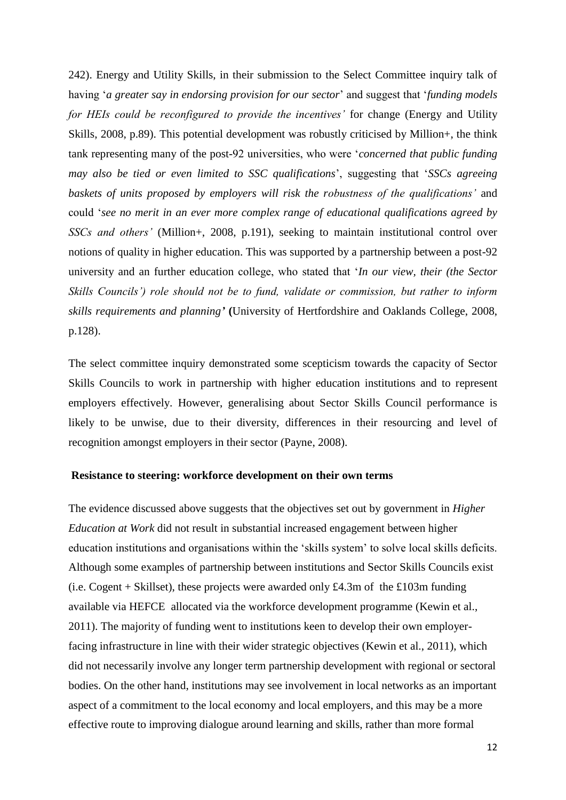242). Energy and Utility Skills, in their submission to the Select Committee inquiry talk of having '*a greater say in endorsing provision for our sector*' and suggest that '*funding models for HEIs could be reconfigured to provide the incentives'* for change (Energy and Utility Skills, 2008, p.89). This potential development was robustly criticised by Million+, the think tank representing many of the post-92 universities, who were '*concerned that public funding may also be tied or even limited to SSC qualifications*', suggesting that '*SSCs agreeing baskets of units proposed by employers will risk the robustness of the qualifications'* and could '*see no merit in an ever more complex range of educational qualifications agreed by SSCs and others'* (Million+, 2008, p.191), seeking to maintain institutional control over notions of quality in higher education. This was supported by a partnership between a post-92 university and an further education college, who stated that '*In our view, their (the Sector Skills Councils') role should not be to fund, validate or commission, but rather to inform skills requirements and planning'* **(**University of Hertfordshire and Oaklands College, 2008, p.128).

The select committee inquiry demonstrated some scepticism towards the capacity of Sector Skills Councils to work in partnership with higher education institutions and to represent employers effectively. However, generalising about Sector Skills Council performance is likely to be unwise, due to their diversity, differences in their resourcing and level of recognition amongst employers in their sector (Payne, 2008).

# **Resistance to steering: workforce development on their own terms**

The evidence discussed above suggests that the objectives set out by government in *Higher Education at Work* did not result in substantial increased engagement between higher education institutions and organisations within the 'skills system' to solve local skills deficits. Although some examples of partnership between institutions and Sector Skills Councils exist (i.e. Cogent + Skillset), these projects were awarded only  $\text{\pounds}4.3m$  of the  $\text{\pounds}103m$  funding available via HEFCE allocated via the workforce development programme (Kewin et al., 2011). The majority of funding went to institutions keen to develop their own employerfacing infrastructure in line with their wider strategic objectives (Kewin et al., 2011), which did not necessarily involve any longer term partnership development with regional or sectoral bodies. On the other hand, institutions may see involvement in local networks as an important aspect of a commitment to the local economy and local employers, and this may be a more effective route to improving dialogue around learning and skills, rather than more formal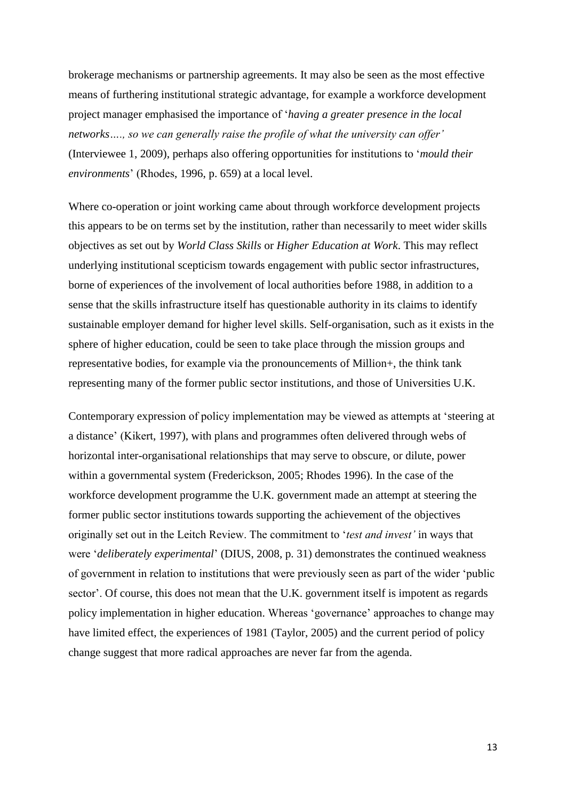brokerage mechanisms or partnership agreements. It may also be seen as the most effective means of furthering institutional strategic advantage, for example a workforce development project manager emphasised the importance of '*having a greater presence in the local networks…., so we can generally raise the profile of what the university can offer'*  (Interviewee 1, 2009), perhaps also offering opportunities for institutions to '*mould their environments*' (Rhodes, 1996, p. 659) at a local level.

Where co-operation or joint working came about through workforce development projects this appears to be on terms set by the institution, rather than necessarily to meet wider skills objectives as set out by *World Class Skills* or *Higher Education at Work*. This may reflect underlying institutional scepticism towards engagement with public sector infrastructures, borne of experiences of the involvement of local authorities before 1988, in addition to a sense that the skills infrastructure itself has questionable authority in its claims to identify sustainable employer demand for higher level skills. Self-organisation, such as it exists in the sphere of higher education, could be seen to take place through the mission groups and representative bodies, for example via the pronouncements of Million+, the think tank representing many of the former public sector institutions, and those of Universities U.K.

Contemporary expression of policy implementation may be viewed as attempts at 'steering at a distance' (Kikert, 1997), with plans and programmes often delivered through webs of horizontal inter-organisational relationships that may serve to obscure, or dilute, power within a governmental system (Frederickson, 2005; Rhodes 1996). In the case of the workforce development programme the U.K. government made an attempt at steering the former public sector institutions towards supporting the achievement of the objectives originally set out in the Leitch Review. The commitment to '*test and invest'* in ways that were '*deliberately experimental*' (DIUS, 2008, p. 31) demonstrates the continued weakness of government in relation to institutions that were previously seen as part of the wider 'public sector'. Of course, this does not mean that the U.K. government itself is impotent as regards policy implementation in higher education. Whereas 'governance' approaches to change may have limited effect, the experiences of 1981 (Taylor, 2005) and the current period of policy change suggest that more radical approaches are never far from the agenda.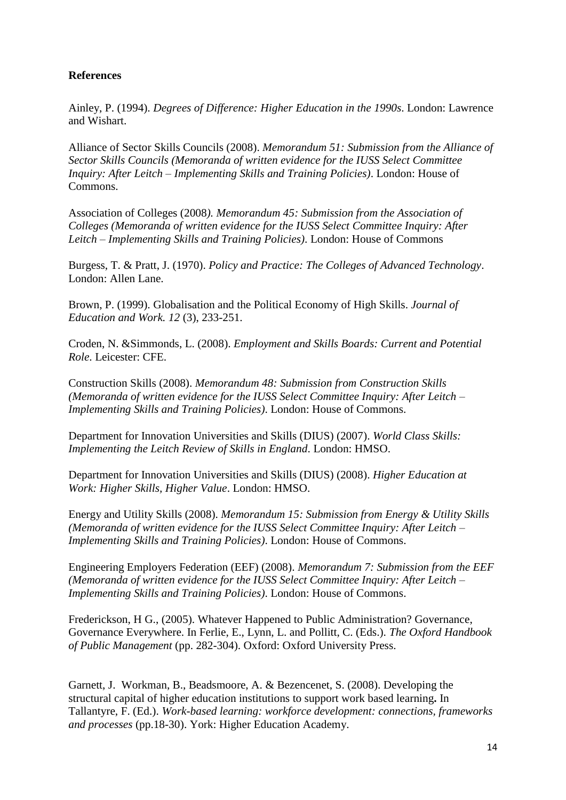# **References**

Ainley, P. (1994). *Degrees of Difference: Higher Education in the 1990s*. London: Lawrence and Wishart.

Alliance of Sector Skills Councils (2008). *Memorandum 51: Submission from the Alliance of Sector Skills Councils (Memoranda of written evidence for the IUSS Select Committee Inquiry: After Leitch – Implementing Skills and Training Policies)*. London: House of Commons.

Association of Colleges (2008*). Memorandum 45: Submission from the Association of Colleges (Memoranda of written evidence for the IUSS Select Committee Inquiry: After Leitch – Implementing Skills and Training Policies)*. London: House of Commons

Burgess, T. & Pratt, J. (1970). *Policy and Practice: The Colleges of Advanced Technology*. London: Allen Lane.

Brown, P. (1999). Globalisation and the Political Economy of High Skills. *Journal of Education and Work. 12* (3), 233-251.

Croden, N. &Simmonds, L. (2008). *Employment and Skills Boards: Current and Potential Role*. Leicester: CFE.

Construction Skills (2008). *Memorandum 48: Submission from Construction Skills (Memoranda of written evidence for the IUSS Select Committee Inquiry: After Leitch – Implementing Skills and Training Policies)*. London: House of Commons.

Department for Innovation Universities and Skills (DIUS) (2007). *World Class Skills: Implementing the Leitch Review of Skills in England*. London: HMSO.

Department for Innovation Universities and Skills (DIUS) (2008). *Higher Education at Work: Higher Skills, Higher Value*. London: HMSO.

Energy and Utility Skills (2008). *Memorandum 15: Submission from Energy & Utility Skills (Memoranda of written evidence for the IUSS Select Committee Inquiry: After Leitch – Implementing Skills and Training Policies)*. London: House of Commons.

Engineering Employers Federation (EEF) (2008). *Memorandum 7: Submission from the EEF (Memoranda of written evidence for the IUSS Select Committee Inquiry: After Leitch – Implementing Skills and Training Policies)*. London: House of Commons.

Frederickson, H G., (2005). Whatever Happened to Public Administration? Governance, Governance Everywhere. In Ferlie, E., Lynn, L. and Pollitt, C. (Eds.). *The Oxford Handbook of Public Management* (pp. 282-304). Oxford: Oxford University Press.

Garnett, J. Workman, B., Beadsmoore, A. & Bezencenet, S. (2008). Developing the structural capital of higher education institutions to support work based learning**.** In Tallantyre, F. (Ed.). *Work-based learning: workforce development: connections, frameworks and processes* (pp.18-30). York: Higher Education Academy.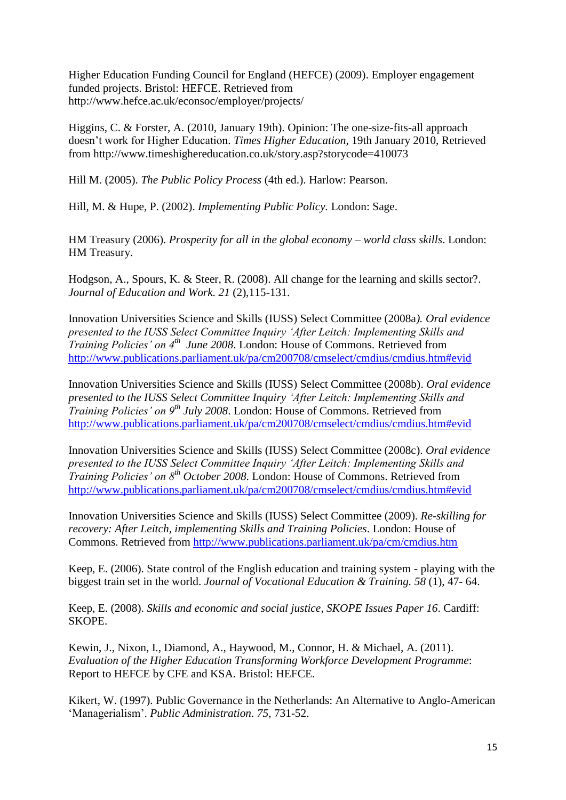Higher Education Funding Council for England (HEFCE) (2009). Employer engagement funded projects. Bristol: HEFCE. Retrieved from http://www.hefce.ac.uk/econsoc/employer/projects/

Higgins, C. & Forster, A. (2010, January 19th). Opinion: The one-size-fits-all approach doesn't work for Higher Education. *Times Higher Education,* 19th January 2010, Retrieved from http://www.timeshighereducation.co.uk/story.asp?storycode=410073

Hill M. (2005). *The Public Policy Process* (4th ed.). Harlow: Pearson.

Hill, M. & Hupe, P. (2002). *Implementing Public Policy.* London: Sage.

HM Treasury (2006). *Prosperity for all in the global economy – world class skills*. London: HM Treasury.

Hodgson, A., Spours, K. & Steer, R. (2008). All change for the learning and skills sector?. *Journal of Education and Work. 21* (2),115-131.

Innovation Universities Science and Skills (IUSS) Select Committee (2008a*). Oral evidence presented to the IUSS Select Committee Inquiry 'After Leitch: Implementing Skills and Training Policies' on 4<sup>th</sup> June 2008*. London: House of Commons. Retrieved from <http://www.publications.parliament.uk/pa/cm200708/cmselect/cmdius/cmdius.htm#evid>

Innovation Universities Science and Skills (IUSS) Select Committee (2008b). *Oral evidence presented to the IUSS Select Committee Inquiry 'After Leitch: Implementing Skills and Training Policies' on 9th July 2008*. London: House of Commons. Retrieved from <http://www.publications.parliament.uk/pa/cm200708/cmselect/cmdius/cmdius.htm#evid>

Innovation Universities Science and Skills (IUSS) Select Committee (2008c). *Oral evidence presented to the IUSS Select Committee Inquiry 'After Leitch: Implementing Skills and Training Policies' on 8th October 2008*. London: House of Commons. Retrieved from <http://www.publications.parliament.uk/pa/cm200708/cmselect/cmdius/cmdius.htm#evid>

Innovation Universities Science and Skills (IUSS) Select Committee (2009). *Re-skilling for recovery: After Leitch, implementing Skills and Training Policies*. London: House of Commons. Retrieved from <http://www.publications.parliament.uk/pa/cm/cmdius.htm>

Keep, E. (2006). State control of the English education and training system - playing with the biggest train set in the world. *Journal of Vocational Education & Training. 58* (1), 47- 64.

Keep, E. (2008). *Skills and economic and social justice, SKOPE Issues Paper 16*. Cardiff: SKOPE.

Kewin, J., Nixon, I., Diamond, A., Haywood, M., Connor, H. & Michael, A. (2011). *Evaluation of the Higher Education Transforming Workforce Development Programme*: Report to HEFCE by CFE and KSA*.* Bristol: HEFCE.

Kikert, W. (1997). Public Governance in the Netherlands: An Alternative to Anglo-American 'Managerialism'. *Public Administration. 75*, 731-52.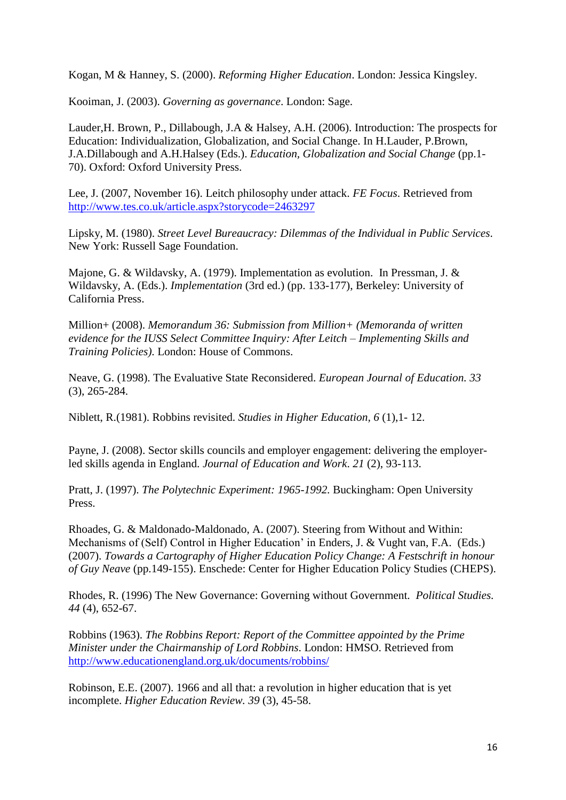Kogan, M & Hanney, S. (2000). *Reforming Higher Education*. London: Jessica Kingsley.

Kooiman, J. (2003). *Governing as governance*. London: Sage.

Lauder,H. Brown, P., Dillabough, J.A & Halsey, A.H. (2006). Introduction: The prospects for Education: Individualization, Globalization, and Social Change. In H.Lauder, P.Brown, J.A.Dillabough and A.H.Halsey (Eds.). *Education, Globalization and Social Change* (pp.1- 70). Oxford: Oxford University Press.

Lee, J. (2007, November 16). Leitch philosophy under attack. *FE Focus*. Retrieved from <http://www.tes.co.uk/article.aspx?storycode=2463297>

Lipsky, M. (1980). *Street Level Bureaucracy: Dilemmas of the Individual in Public Services*. New York: Russell Sage Foundation.

Majone, G. & Wildavsky, A. (1979). Implementation as evolution. In Pressman, J. & Wildavsky, A. (Eds.). *Implementation* (3rd ed.) (pp. 133-177), Berkeley: University of California Press.

Million+ (2008). *Memorandum 36: Submission from Million+ (Memoranda of written evidence for the IUSS Select Committee Inquiry: After Leitch – Implementing Skills and Training Policies)*. London: House of Commons.

Neave, G. (1998). The Evaluative State Reconsidered. *European Journal of Education. 33* (3), 265-284.

Niblett, R.(1981). Robbins revisited. *Studies in Higher Education, 6* (1),1- 12.

Payne, J. (2008). Sector skills councils and employer engagement: delivering the employerled skills agenda in England. *Journal of Education and Work*. *21* (2), 93-113.

Pratt, J. (1997). *The Polytechnic Experiment: 1965-1992.* Buckingham: Open University Press.

Rhoades, G. & Maldonado-Maldonado, A. (2007). Steering from Without and Within: Mechanisms of (Self) Control in Higher Education' in Enders, J. & Vught van, F.A. (Eds.) (2007). *Towards a Cartography of Higher Education Policy Change: A Festschrift in honour of Guy Neave* (pp.149-155). Enschede: Center for Higher Education Policy Studies (CHEPS).

Rhodes, R. (1996) The New Governance: Governing without Government. *Political Studies. 44* (4), 652-67.

Robbins (1963). *The Robbins Report: Report of the Committee appointed by the Prime Minister under the Chairmanship of Lord Robbins*. London: HMSO. Retrieved from <http://www.educationengland.org.uk/documents/robbins/>

Robinson, E.E. (2007). 1966 and all that: a revolution in higher education that is yet incomplete. *Higher Education Review. 39* (3), 45-58.